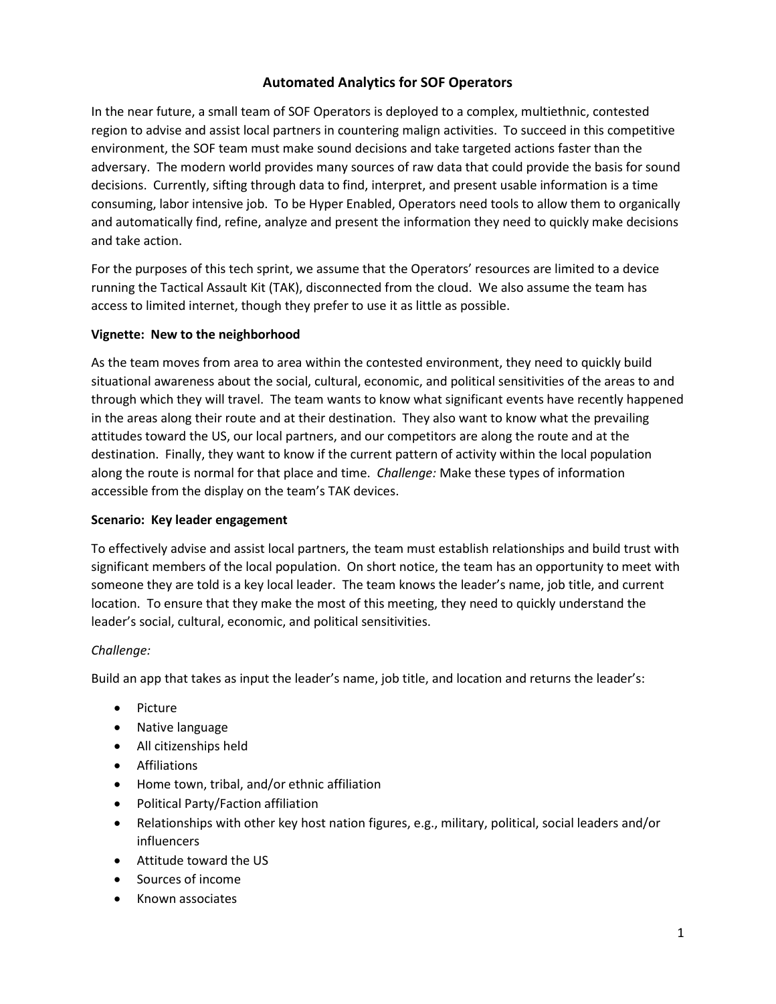# **Automated Analytics for SOF Operators**

In the near future, a small team of SOF Operators is deployed to a complex, multiethnic, contested region to advise and assist local partners in countering malign activities. To succeed in this competitive environment, the SOF team must make sound decisions and take targeted actions faster than the adversary. The modern world provides many sources of raw data that could provide the basis for sound decisions. Currently, sifting through data to find, interpret, and present usable information is a time consuming, labor intensive job. To be Hyper Enabled, Operators need tools to allow them to organically and automatically find, refine, analyze and present the information they need to quickly make decisions and take action.

For the purposes of this tech sprint, we assume that the Operators' resources are limited to a device running the Tactical Assault Kit (TAK), disconnected from the cloud. We also assume the team has access to limited internet, though they prefer to use it as little as possible.

#### **Vignette: New to the neighborhood**

As the team moves from area to area within the contested environment, they need to quickly build situational awareness about the social, cultural, economic, and political sensitivities of the areas to and through which they will travel. The team wants to know what significant events have recently happened in the areas along their route and at their destination. They also want to know what the prevailing attitudes toward the US, our local partners, and our competitors are along the route and at the destination. Finally, they want to know if the current pattern of activity within the local population along the route is normal for that place and time. *Challenge:* Make these types of information accessible from the display on the team's TAK devices.

#### **Scenario: Key leader engagement**

To effectively advise and assist local partners, the team must establish relationships and build trust with significant members of the local population. On short notice, the team has an opportunity to meet with someone they are told is a key local leader. The team knows the leader's name, job title, and current location. To ensure that they make the most of this meeting, they need to quickly understand the leader's social, cultural, economic, and political sensitivities.

#### *Challenge:*

Build an app that takes as input the leader's name, job title, and location and returns the leader's:

- Picture
- Native language
- All citizenships held
- Affiliations
- Home town, tribal, and/or ethnic affiliation
- Political Party/Faction affiliation
- Relationships with other key host nation figures, e.g., military, political, social leaders and/or influencers
- Attitude toward the US
- Sources of income
- Known associates